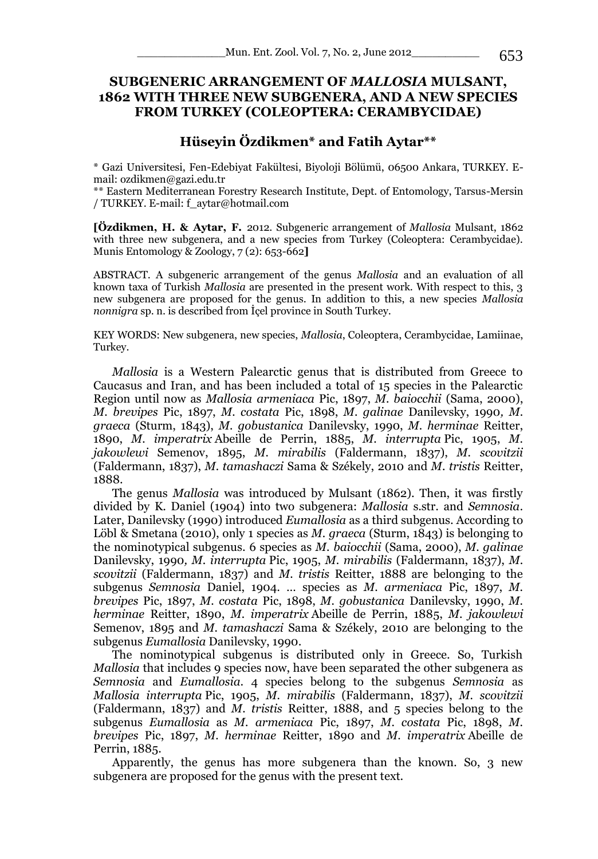# **SUBGENERIC ARRANGEMENT OF** *MALLOSIA* **MULSANT, 1862 WITH THREE NEW SUBGENERA, AND A NEW SPECIES FROM TURKEY (COLEOPTERA: CERAMBYCIDAE)**

## **Hüseyin Özdikmen\* and Fatih Aytar\*\***

\* Gazi Universitesi, Fen-Edebiyat Fakültesi, Biyoloji Bölümü, 06500 Ankara, TURKEY. Email: ozdikmen@gazi.edu.tr

\*\* Eastern Mediterranean Forestry Research Institute, Dept. of Entomology, Tarsus-Mersin / TURKEY. E-mail: f\_aytar@hotmail.com

**[Özdikmen, H. & Aytar, F.** 2012. Subgeneric arrangement of *Mallosia* Mulsant, 1862 with three new subgenera, and a new species from Turkey (Coleoptera: Cerambycidae). Munis Entomology & Zoology, 7 (2): 653-662**]**

ABSTRACT. A subgeneric arrangement of the genus *Mallosia* and an evaluation of all known taxa of Turkish *Mallosia* are presented in the present work. With respect to this, 3 new subgenera are proposed for the genus. In addition to this, a new species *Mallosia nonnigra* sp. n. is described from İçel province in South Turkey.

KEY WORDS: New subgenera, new species, *Mallosia*, Coleoptera, Cerambycidae, Lamiinae, Turkey.

*Mallosia* is a Western Palearctic genus that is distributed from Greece to Caucasus and Iran, and has been included a total of 15 species in the Palearctic Region until now as *Mallosia armeniaca* Pic, 1897, *M. baiocchii* (Sama, 2000), *M. brevipes* Pic, 1897, *M. costata* Pic, 1898, *M. galinae* Danilevsky, 1990*, M. graeca* (Sturm, 1843), *M. gobustanica* Danilevsky, 1990, *M. herminae* Reitter, 1890, *M. imperatrix* Abeille de Perrin, 1885, *M. interrupta* Pic, 1905, *M. jakowlewi* Semenov, 1895, *M. mirabilis* (Faldermann, 1837), *M. scovitzii* (Faldermann, 1837), *M. tamashaczi* Sama & Székely, 2010 and *M. tristis* Reitter, 1888.

The genus *Mallosia* was introduced by Mulsant (1862). Then, it was firstly divided by K. Daniel (1904) into two subgenera: *Mallosia* s.str. and *Semnosia*. Later, Danilevsky (1990) introduced *Eumallosia* as a third subgenus. According to Löbl & Smetana (2010), only 1 species as *M. graeca* (Sturm, 1843) is belonging to the nominotypical subgenus. 6 species as *M. baiocchii* (Sama, 2000), *M. galinae*  Danilevsky, 1990*, M. interrupta* Pic, 1905, *M. mirabilis* (Faldermann, 1837), *M. scovitzii* (Faldermann, 1837) and *M. tristis* Reitter, 1888 are belonging to the subgenus *Semnosia* Daniel, 1904. … species as *M. armeniaca* Pic, 1897, *M. brevipes* Pic, 1897, *M. costata* Pic, 1898, *M. gobustanica* Danilevsky, 1990, *M. herminae* Reitter, 1890, *M. imperatrix* Abeille de Perrin, 1885, *M. jakowlewi*  Semenov, 1895 and *M. tamashaczi* Sama & Székely, 2010 are belonging to the subgenus *Eumallosia* Danilevsky, 1990.

The nominotypical subgenus is distributed only in Greece. So, Turkish *Mallosia* that includes 9 species now, have been separated the other subgenera as *Semnosia* and *Eumallosia*. 4 species belong to the subgenus *Semnosia* as *Mallosia interrupta* Pic, 1905, *M. mirabilis* (Faldermann, 1837), *M. scovitzii* (Faldermann, 1837) and *M. tristis* Reitter, 1888, and 5 species belong to the subgenus *Eumallosia* as *M. armeniaca* Pic, 1897, *M. costata* Pic, 1898, *M. brevipes* Pic, 1897, *M. herminae* Reitter, 1890 and *M. imperatrix* Abeille de Perrin, 1885.

Apparently, the genus has more subgenera than the known. So, 3 new subgenera are proposed for the genus with the present text.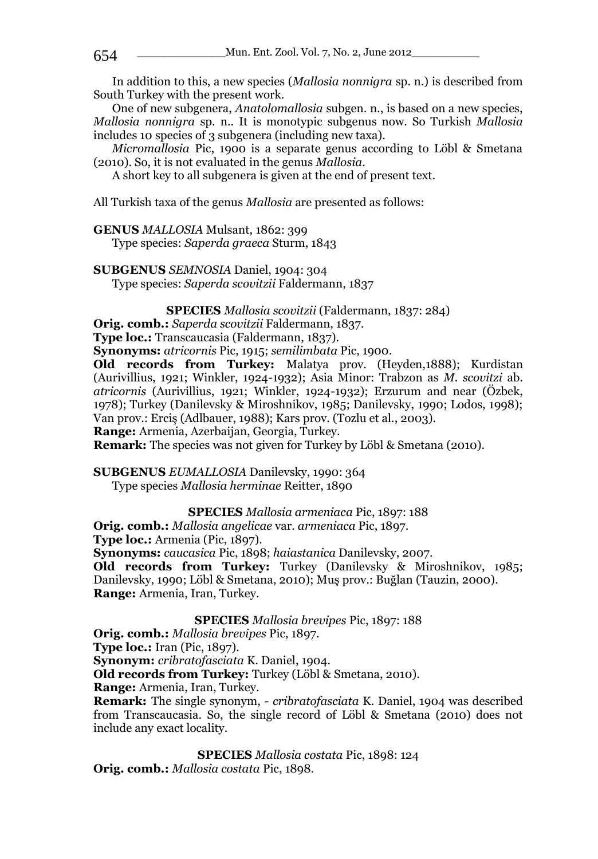In addition to this, a new species (*Mallosia nonnigra* sp. n.) is described from South Turkey with the present work.

One of new subgenera, *Anatolomallosia* subgen. n., is based on a new species, *Mallosia nonnigra* sp. n.. It is monotypic subgenus now. So Turkish *Mallosia*  includes 10 species of 3 subgenera (including new taxa).

*Micromallosia* Pic, 1900 is a separate genus according to Löbl & Smetana (2010). So, it is not evaluated in the genus *Mallosia*.

A short key to all subgenera is given at the end of present text.

All Turkish taxa of the genus *Mallosia* are presented as follows:

**GENUS** *MALLOSIA* Mulsant, 1862: 399

Type species: *Saperda graeca* Sturm, 1843

**SUBGENUS** *SEMNOSIA* Daniel, 1904: 304

Type species: *Saperda scovitzii* Faldermann, 1837

**SPECIES** *Mallosia scovitzii* (Faldermann, 1837: 284) **Orig. comb.:** *Saperda scovitzii* Faldermann, 1837.

**Type loc.:** Transcaucasia (Faldermann, 1837).

**Synonyms:** *atricornis* Pic, 1915; *semilimbata* Pic, 1900.

**Old records from Turkey:** Malatya prov. (Heyden,1888); Kurdistan (Aurivillius, 1921; Winkler, 1924-1932); Asia Minor: Trabzon as *M. scovitzi* ab. *atricornis* (Aurivillius, 1921; Winkler, 1924-1932); Erzurum and near (Özbek, 1978); Turkey (Danilevsky & Miroshnikov, 1985; Danilevsky, 1990; Lodos, 1998); Van prov.: Erciş (Adlbauer, 1988); Kars prov. (Tozlu et al., 2003).

**Range:** Armenia, Azerbaijan, Georgia, Turkey.

**Remark:** The species was not given for Turkey by Löbl & Smetana (2010).

**SUBGENUS** *EUMALLOSIA* Danilevsky, 1990: 364

Type species *Mallosia herminae* Reitter, 1890

**SPECIES** *Mallosia armeniaca* Pic, 1897: 188

**Orig. comb.:** *Mallosia angelicae* var. *armeniaca* Pic, 1897.

**Type loc.:** Armenia (Pic, 1897).

**Synonyms:** *caucasica* Pic, 1898; *haiastanica* Danilevsky, 2007.

**Old records from Turkey:** Turkey (Danilevsky & Miroshnikov, 1985; Danilevsky, 1990; Löbl & Smetana, 2010); Muş prov.: Buğlan (Tauzin, 2000). **Range:** Armenia, Iran, Turkey.

**SPECIES** *Mallosia brevipes* Pic, 1897: 188

**Orig. comb.:** *Mallosia brevipes* Pic, 1897.

**Type loc.:** Iran (Pic, 1897).

**Synonym:** *cribratofasciata* K. Daniel, 1904.

**Old records from Turkey:** Turkey (Löbl & Smetana, 2010).

**Range:** Armenia, Iran, Turkey.

**Remark:** The single synonym, - *cribratofasciata* K. Daniel, 1904 was described from Transcaucasia. So, the single record of Löbl & Smetana (2010) does not include any exact locality.

**SPECIES** *Mallosia costata* Pic, 1898: 124 **Orig. comb.:** *Mallosia costata* Pic, 1898.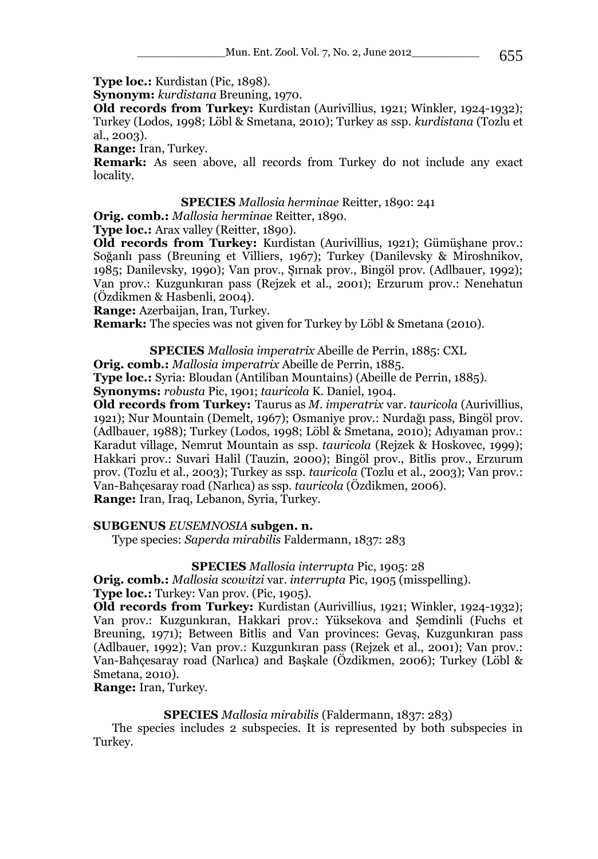**Type loc.:** Kurdistan (Pic, 1898).

**Synonym:** *kurdistana* Breuning, 1970.

**Old records from Turkey:** Kurdistan (Aurivillius, 1921; Winkler, 1924-1932); Turkey (Lodos, 1998; Löbl & Smetana, 2010); Turkey as ssp. *kurdistana* (Tozlu et al., 2003).

**Range:** Iran, Turkey.

**Remark:** As seen above, all records from Turkey do not include any exact locality.

## **SPECIES** *Mallosia herminae* Reitter, 1890: 241

**Orig. comb.:** *Mallosia herminae* Reitter, 1890.

**Type loc.:** Arax valley (Reitter, 1890).

**Old records from Turkey:** Kurdistan (Aurivillius, 1921); Gümüşhane prov.: Soğanlı pass (Breuning et Villiers, 1967); Turkey (Danilevsky & Miroshnikov, 1985; Danilevsky, 1990); Van prov., Şırnak prov., Bingöl prov. (Adlbauer, 1992); Van prov.: Kuzgunkıran pass (Rejzek et al., 2001); Erzurum prov.: Nenehatun (Özdikmen & Hasbenli, 2004).

**Range:** Azerbaijan, Iran, Turkey.

**Remark:** The species was not given for Turkey by Löbl & Smetana (2010).

**SPECIES** *Mallosia imperatrix* Abeille de Perrin, 1885: CXL

**Orig. comb.:** *Mallosia imperatrix* Abeille de Perrin, 1885.

**Type loc.:** Syria: Bloudan (Antiliban Mountains) (Abeille de Perrin, 1885).

**Synonyms:** *robusta* Pic, 1901; *tauricola* K. Daniel, 1904.

**Old records from Turkey:** Taurus as *M. imperatrix* var. *tauricola* (Aurivillius, 1921); Nur Mountain (Demelt, 1967); Osmaniye prov.: Nurdağı pass, Bingöl prov. (Adlbauer, 1988); Turkey (Lodos, 1998; Löbl & Smetana, 2010); Adıyaman prov.: Karadut village, Nemrut Mountain as ssp. *tauricola* (Rejzek & Hoskovec, 1999); Hakkari prov.: Suvari Halil (Tauzin, 2000); Bingöl prov., Bitlis prov., Erzurum prov. (Tozlu et al., 2003); Turkey as ssp. *tauricola* (Tozlu et al., 2003); Van prov.: Van-Bahçesaray road (Narlıca) as ssp. *tauricola* (Özdikmen, 2006).

**Range:** Iran, Iraq, Lebanon, Syria, Turkey.

### **SUBGENUS** *EUSEMNOSIA* **subgen. n.**

Type species: *Saperda mirabilis* Faldermann, 1837: 283

## **SPECIES** *Mallosia interrupta* Pic, 1905: 28

**Orig. comb.:** *Mallosia scowitzi* var. *interrupta* Pic, 1905 (misspelling). **Type loc.:** Turkey: Van prov. (Pic, 1905).

**Old records from Turkey:** Kurdistan (Aurivillius, 1921; Winkler, 1924-1932); Van prov.: Kuzgunkıran, Hakkari prov.: Yüksekova and Şemdinli (Fuchs et Breuning, 1971); Between Bitlis and Van provinces: Gevaş, Kuzgunkıran pass (Adlbauer, 1992); Van prov.: Kuzgunkıran pass (Rejzek et al., 2001); Van prov.: Van-Bahçesaray road (Narlıca) and Başkale (Özdikmen, 2006); Turkey (Löbl & Smetana, 2010).

**Range:** Iran, Turkey.

### **SPECIES** *Mallosia mirabilis* (Faldermann, 1837: 283)

The species includes 2 subspecies. It is represented by both subspecies in Turkey.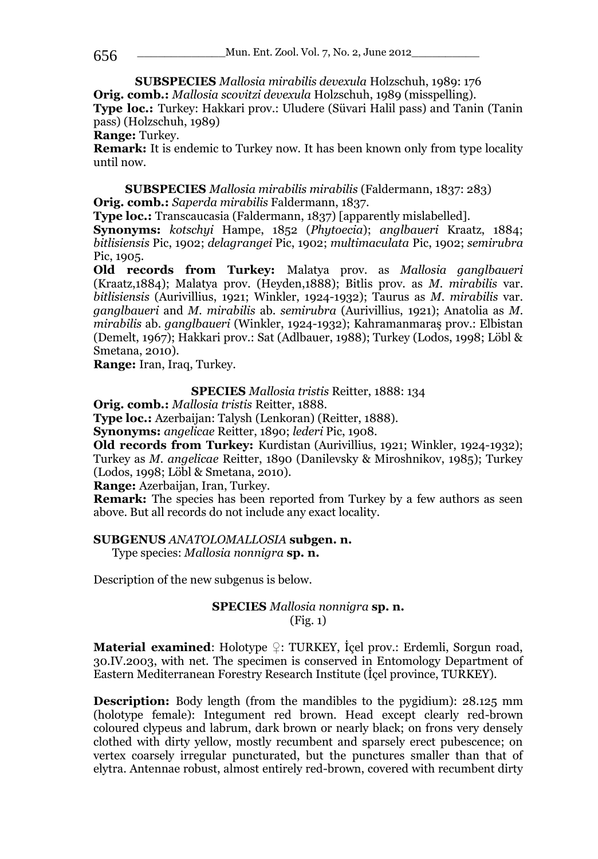**SUBSPECIES** *Mallosia mirabilis devexula* Holzschuh, 1989: 176 **Orig. comb.:** *Mallosia scovitzi devexula* Holzschuh, 1989 (misspelling). **Type loc.:** Turkey: Hakkari prov.: Uludere (Süvari Halil pass) and Tanin (Tanin pass) (Holzschuh, 1989)

**Range:** Turkey.

**Remark:** It is endemic to Turkey now. It has been known only from type locality until now.

**SUBSPECIES** *Mallosia mirabilis mirabilis* (Faldermann, 1837: 283) **Orig. comb.:** *Saperda mirabilis* Faldermann, 1837.

**Type loc.:** Transcaucasia (Faldermann, 1837) [apparently mislabelled].

**Synonyms:** *kotschyi* Hampe, 1852 (*Phytoecia*); *anglbaueri* Kraatz, 1884; *bitlisiensis* Pic, 1902; *delagrangei* Pic, 1902; *multimaculata* Pic, 1902; *semirubra* Pic, 1905.

**Old records from Turkey:** Malatya prov. as *Mallosia ganglbaueri* (Kraatz,1884); Malatya prov. (Heyden,1888); Bitlis prov. as *M. mirabilis* var. *bitlisiensis* (Aurivillius, 1921; Winkler, 1924-1932); Taurus as *M. mirabilis* var. *ganglbaueri* and *M. mirabilis* ab. *semirubra* (Aurivillius, 1921); Anatolia as *M. mirabilis* ab. *ganglbaueri* (Winkler, 1924-1932); Kahramanmaraş prov.: Elbistan (Demelt, 1967); Hakkari prov.: Sat (Adlbauer, 1988); Turkey (Lodos, 1998; Löbl & Smetana, 2010).

**Range:** Iran, Iraq, Turkey.

**SPECIES** *Mallosia tristis* Reitter, 1888: 134

**Orig. comb.:** *Mallosia tristis* Reitter, 1888.

**Type loc.:** Azerbaijan: Talysh (Lenkoran) (Reitter, 1888).

**Synonyms:** *angelicae* Reitter, 1890; *lederi* Pic, 1908.

**Old records from Turkey:** Kurdistan (Aurivillius, 1921; Winkler, 1924-1932); Turkey as *M. angelicae* Reitter, 1890 (Danilevsky & Miroshnikov, 1985); Turkey (Lodos, 1998; Löbl & Smetana, 2010).

**Range:** Azerbaijan, Iran, Turkey.

**Remark:** The species has been reported from Turkey by a few authors as seen above. But all records do not include any exact locality.

### **SUBGENUS** *ANATOLOMALLOSIA* **subgen. n.**

Type species: *Mallosia nonnigra* **sp. n.**

Description of the new subgenus is below.

### **SPECIES** *Mallosia nonnigra* **sp. n.** (Fig. 1)

**Material examined**: Holotype ♀: TURKEY, İçel prov.: Erdemli, Sorgun road, 30.IV.2003, with net. The specimen is conserved in Entomology Department of Eastern Mediterranean Forestry Research Institute (İçel province, TURKEY).

**Description:** Body length (from the mandibles to the pygidium): 28.125 mm (holotype female): Integument red brown. Head except clearly red-brown coloured clypeus and labrum, dark brown or nearly black; on frons very densely clothed with dirty yellow, mostly recumbent and sparsely erect pubescence; on vertex coarsely irregular puncturated, but the punctures smaller than that of elytra. Antennae robust, almost entirely red-brown, covered with recumbent dirty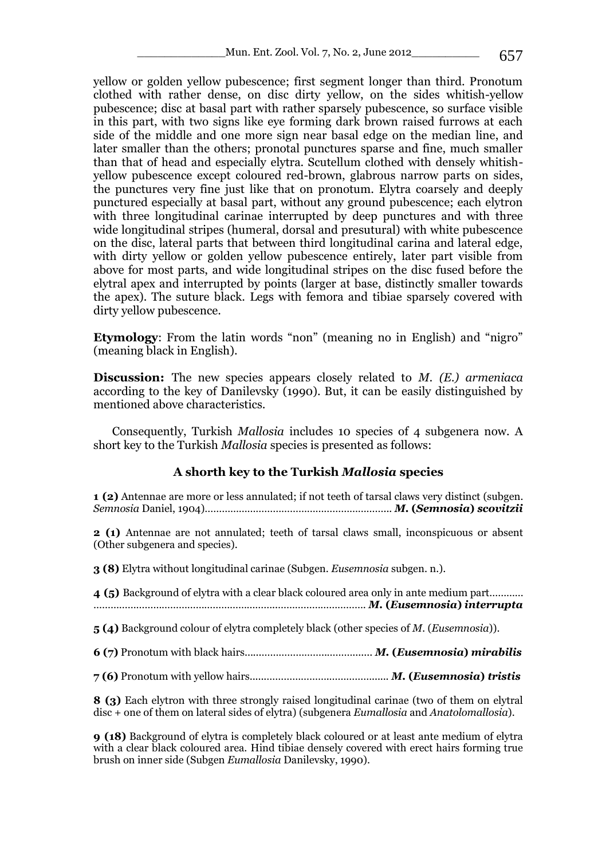yellow or golden yellow pubescence; first segment longer than third. Pronotum clothed with rather dense, on disc dirty yellow, on the sides whitish-yellow pubescence; disc at basal part with rather sparsely pubescence, so surface visible in this part, with two signs like eye forming dark brown raised furrows at each side of the middle and one more sign near basal edge on the median line, and later smaller than the others; pronotal punctures sparse and fine, much smaller than that of head and especially elytra. Scutellum clothed with densely whitishyellow pubescence except coloured red-brown, glabrous narrow parts on sides, the punctures very fine just like that on pronotum. Elytra coarsely and deeply punctured especially at basal part, without any ground pubescence; each elytron with three longitudinal carinae interrupted by deep punctures and with three wide longitudinal stripes (humeral, dorsal and presutural) with white pubescence on the disc, lateral parts that between third longitudinal carina and lateral edge, with dirty yellow or golden yellow pubescence entirely, later part visible from above for most parts, and wide longitudinal stripes on the disc fused before the elytral apex and interrupted by points (larger at base, distinctly smaller towards the apex). The suture black. Legs with femora and tibiae sparsely covered with dirty yellow pubescence.

**Etymology**: From the latin words "non" (meaning no in English) and "nigro" (meaning black in English).

**Discussion:** The new species appears closely related to *M. (E.) armeniaca* according to the key of Danilevsky (1990). But, it can be easily distinguished by mentioned above characteristics.

Consequently, Turkish *Mallosia* includes 10 species of 4 subgenera now. A short key to the Turkish *Mallosia* species is presented as follows:

### **A shorth key to the Turkish** *Mallosia* **species**

**1 (2)** Antennae are more or less annulated; if not teeth of tarsal claws very distinct (subgen. *Semnosia* Daniel, 1904)………………………………………………………... *M.* **(***Semnosia***)** *scovitzii*

**2 (1)** Antennae are not annulated; teeth of tarsal claws small, inconspicuous or absent (Other subgenera and species).

**3 (8)** Elytra without longitudinal carinae (Subgen. *Eusemnosia* subgen. n.).

**4 (5)** Background of elytra with a clear black coloured area only in ante medium part………… ………………………………………………………..…………………………. *M.* **(***Eusemnosia***)** *interrupta*

**5 (4)** Background colour of elytra completely black (other species of *M.* (*Eusemnosia*)).

**6 (7)** Pronotum with black hairs......…………………..………....... *M.* **(***Eusemnosia***)** *mirabilis*

**7 (6)** Pronotum with yellow hairs......………………….……………...... *M.* **(***Eusemnosia***)** *tristis*

**8 (3)** Each elytron with three strongly raised longitudinal carinae (two of them on elytral disc + one of them on lateral sides of elytra) (subgenera *Eumallosia* and *Anatolomallosia*).

**9 (18)** Background of elytra is completely black coloured or at least ante medium of elytra with a clear black coloured area. Hind tibiae densely covered with erect hairs forming true brush on inner side (Subgen *Eumallosia* Danilevsky, 1990).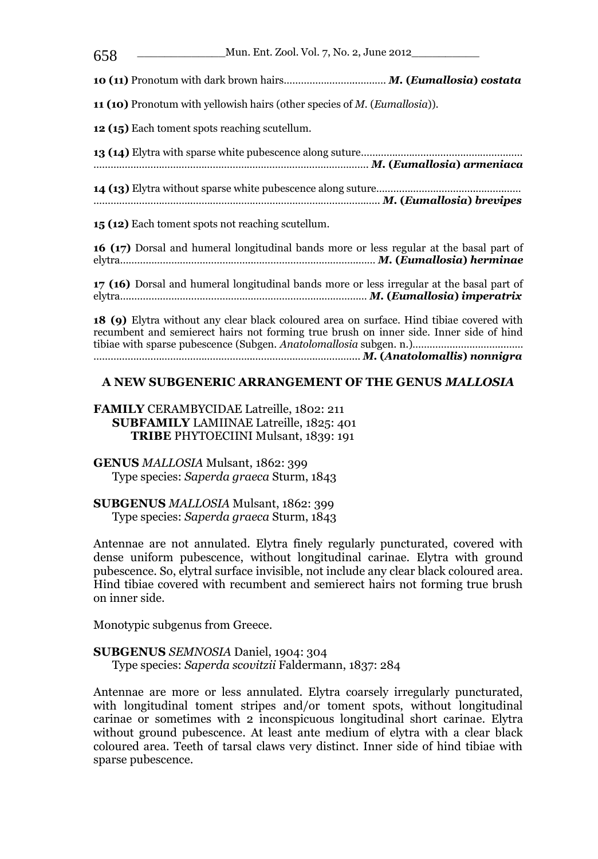\_\_\_\_\_\_\_\_\_\_\_\_\_Mun. Ent. Zool. Vol. 7, No. 2, June 2012\_\_\_\_\_\_\_\_\_\_ 658 **10 (11)** Pronotum with dark brown hairs……………………..………. *M.* **(***Eumallosia***)** *costata* **11 (10)** Pronotum with yellowish hairs (other species of *M.* (*Eumallosia*)). **12 (15)** Each toment spots reaching scutellum. **13 (14)** Elytra with sparse white pubescence along suture………………………………………………… ……………………………………………………………………………………. *M.* **(***Eumallosia***)** *armeniaca* **14 (13)** Elytra without sparse white pubescence along suture……………………………..……….…… ……………………………..…………………………………………………….….. *M.* **(***Eumallosia***)** *brevipes* **15 (12)** Each toment spots not reaching scutellum. **16 (17)** Dorsal and humeral longitudinal bands more or less regular at the basal part of elytra………………………………………..……………………………….…… *M.* **(***Eumallosia***)** *herminae* **17 (16)** Dorsal and humeral longitudinal bands more or less irregular at the basal part of elytra…..………………………………………………………….…………… *M.* **(***Eumallosia***)** *imperatrix* **18 (9)** Elytra without any clear black coloured area on surface. Hind tibiae covered with recumbent and semierect hairs not forming true brush on inner side. Inner side of hind tibiae with sparse pubescence (Subgen. *Anatolomallosia* subgen. n.)…………………………...…… ………………………………………………..………………….….………... *M.* **(***Anatolomallis***)** *nonnigra*

#### **A NEW SUBGENERIC ARRANGEMENT OF THE GENUS** *MALLOSIA*

**FAMILY** CERAMBYCIDAE Latreille, 1802: 211 **SUBFAMILY** LAMIINAE Latreille, 1825: 401 **TRIBE** PHYTOECIINI Mulsant, 1839: 191

**GENUS** *MALLOSIA* Mulsant, 1862: 399 Type species: *Saperda graeca* Sturm, 1843

**SUBGENUS** *MALLOSIA* Mulsant, 1862: 399 Type species: *Saperda graeca* Sturm, 1843

Antennae are not annulated. Elytra finely regularly puncturated, covered with dense uniform pubescence, without longitudinal carinae. Elytra with ground pubescence. So, elytral surface invisible, not include any clear black coloured area. Hind tibiae covered with recumbent and semierect hairs not forming true brush on inner side.

Monotypic subgenus from Greece.

**SUBGENUS** *SEMNOSIA* Daniel, 1904: 304 Type species: *Saperda scovitzii* Faldermann, 1837: 284

Antennae are more or less annulated. Elytra coarsely irregularly puncturated, with longitudinal toment stripes and/or toment spots, without longitudinal carinae or sometimes with 2 inconspicuous longitudinal short carinae. Elytra without ground pubescence. At least ante medium of elytra with a clear black coloured area. Teeth of tarsal claws very distinct. Inner side of hind tibiae with sparse pubescence.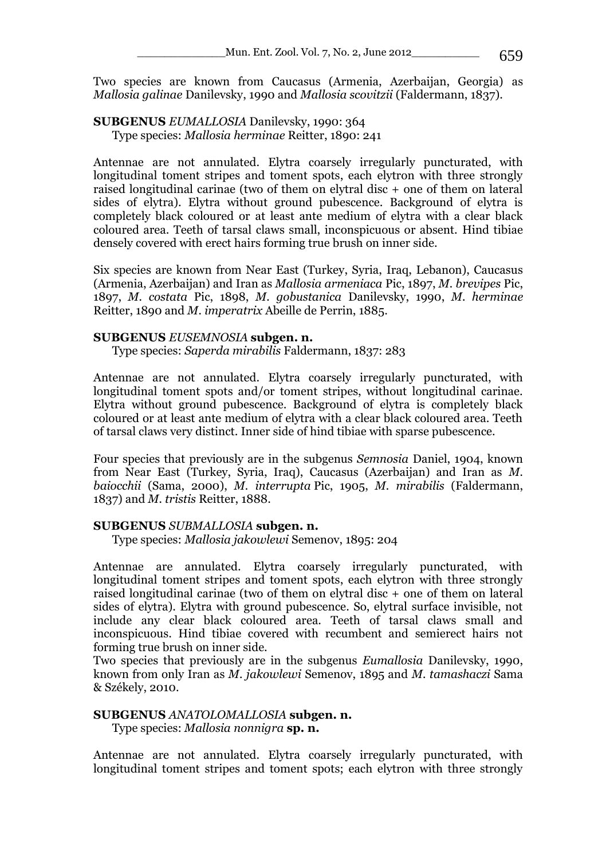Two species are known from Caucasus (Armenia, Azerbaijan, Georgia) as *Mallosia galinae* Danilevsky, 1990 and *Mallosia scovitzii* (Faldermann, 1837).

#### **SUBGENUS** *EUMALLOSIA* Danilevsky, 1990: 364 Type species: *Mallosia herminae* Reitter, 1890: 241

Antennae are not annulated. Elytra coarsely irregularly puncturated, with longitudinal toment stripes and toment spots, each elytron with three strongly raised longitudinal carinae (two of them on elytral disc + one of them on lateral sides of elytra). Elytra without ground pubescence. Background of elytra is completely black coloured or at least ante medium of elytra with a clear black coloured area. Teeth of tarsal claws small, inconspicuous or absent. Hind tibiae densely covered with erect hairs forming true brush on inner side.

Six species are known from Near East (Turkey, Syria, Iraq, Lebanon), Caucasus (Armenia, Azerbaijan) and Iran as *Mallosia armeniaca* Pic, 1897, *M. brevipes* Pic, 1897, *M. costata* Pic, 1898, *M. gobustanica* Danilevsky, 1990, *M. herminae*  Reitter, 1890 and *M. imperatrix* Abeille de Perrin, 1885.

#### **SUBGENUS** *EUSEMNOSIA* **subgen. n.**

Type species: *Saperda mirabilis* Faldermann, 1837: 283

Antennae are not annulated. Elytra coarsely irregularly puncturated, with longitudinal toment spots and/or toment stripes, without longitudinal carinae. Elytra without ground pubescence. Background of elytra is completely black coloured or at least ante medium of elytra with a clear black coloured area. Teeth of tarsal claws very distinct. Inner side of hind tibiae with sparse pubescence.

Four species that previously are in the subgenus *Semnosia* Daniel, 1904, known from Near East (Turkey, Syria, Iraq), Caucasus (Azerbaijan) and Iran as *M. baiocchii* (Sama, 2000), *M. interrupta* Pic, 1905, *M. mirabilis* (Faldermann, 1837) and *M. tristis* Reitter, 1888.

### **SUBGENUS** *SUBMALLOSIA* **subgen. n.**

Type species: *Mallosia jakowlewi* Semenov, 1895: 204

Antennae are annulated. Elytra coarsely irregularly puncturated, with longitudinal toment stripes and toment spots, each elytron with three strongly raised longitudinal carinae (two of them on elytral disc + one of them on lateral sides of elytra). Elytra with ground pubescence. So, elytral surface invisible, not include any clear black coloured area. Teeth of tarsal claws small and inconspicuous. Hind tibiae covered with recumbent and semierect hairs not forming true brush on inner side.

Two species that previously are in the subgenus *Eumallosia* Danilevsky, 1990, known from only Iran as *M. jakowlewi* Semenov, 1895 and *M. tamashaczi* Sama & Székely, 2010.

### **SUBGENUS** *ANATOLOMALLOSIA* **subgen. n.**

Type species: *Mallosia nonnigra* **sp. n.**

Antennae are not annulated. Elytra coarsely irregularly puncturated, with longitudinal toment stripes and toment spots; each elytron with three strongly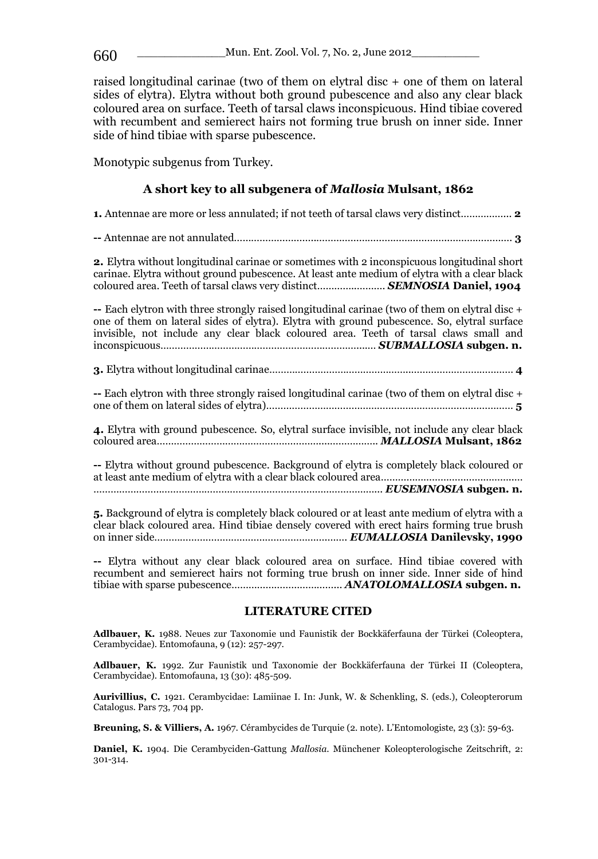raised longitudinal carinae (two of them on elytral disc + one of them on lateral sides of elytra). Elytra without both ground pubescence and also any clear black coloured area on surface. Teeth of tarsal claws inconspicuous. Hind tibiae covered with recumbent and semierect hairs not forming true brush on inner side. Inner side of hind tibiae with sparse pubescence.

Monotypic subgenus from Turkey.

### **A short key to all subgenera of** *Mallosia* **Mulsant, 1862**

**1.** Antennae are more or less annulated; if not teeth of tarsal claws very distinct……………... **2 --** Antennae are not annulated………………………..………………………………………..…………………. **3 2.** Elytra without longitudinal carinae or sometimes with 2 inconspicuous longitudinal short carinae. Elytra without ground pubescence. At least ante medium of elytra with a clear black coloured area. Teeth of tarsal claws very distinct…………..………. *SEMNOSIA* **Daniel, 1904 --** Each elytron with three strongly raised longitudinal carinae (two of them on elytral disc + one of them on lateral sides of elytra). Elytra with ground pubescence. So, elytral surface invisible, not include any clear black coloured area. Teeth of tarsal claws small and inconspicuous……………………………………………………………....… *SUBMALLOSIA* **subgen. n. 3.** Elytra without longitudinal carinae…………………………………………..……………………………… **4 --** Each elytron with three strongly raised longitudinal carinae (two of them on elytral disc + one of them on lateral sides of elytra)…………………………………………………………………………… **5 4.** Elytra with ground pubescence. So, elytral surface invisible, not include any clear black coloured area…………………………………………………....…………….. *MALLOSIA* **Mulsant, 1862 --** Elytra without ground pubescence. Background of elytra is completely black coloured or at least ante medium of elytra with a clear black coloured area………………………………………..… ………………………………………………………………………………………... *EUSEMNOSIA* **subgen. n.**

**5.** Background of elytra is completely black coloured or at least ante medium of elytra with a clear black coloured area. Hind tibiae densely covered with erect hairs forming true brush on inner side…………………………………………………….……. *EUMALLOSIA* **Danilevsky, 1990**

**--** Elytra without any clear black coloured area on surface. Hind tibiae covered with recumbent and semierect hairs not forming true brush on inner side. Inner side of hind tibiae with sparse pubescence………………………………... *ANATOLOMALLOSIA* **subgen. n.**

#### **LITERATURE CITED**

**Adlbauer, K.** 1988. Neues zur Taxonomie und Faunistik der Bockkäferfauna der Türkei (Coleoptera, Cerambycidae). Entomofauna, 9 (12): 257-297.

**Adlbauer, K.** 1992. Zur Faunistik und Taxonomie der Bockkäferfauna der Türkei II (Coleoptera, Cerambycidae). Entomofauna, 13 (30): 485-509.

**Aurivillius, C.** 1921. Cerambycidae: Lamiinae I. In: Junk, W. & Schenkling, S. (eds.), Coleopterorum Catalogus. Pars 73, 704 pp.

**Breuning, S. & Villiers, A.** 1967. Cérambycides de Turquie (2. note). L'Entomologiste, 23 (3): 59-63.

**Daniel, K.** 1904. Die Cerambyciden-Gattung *Mallosia*. Münchener Koleopterologische Zeitschrift, 2: 301-314.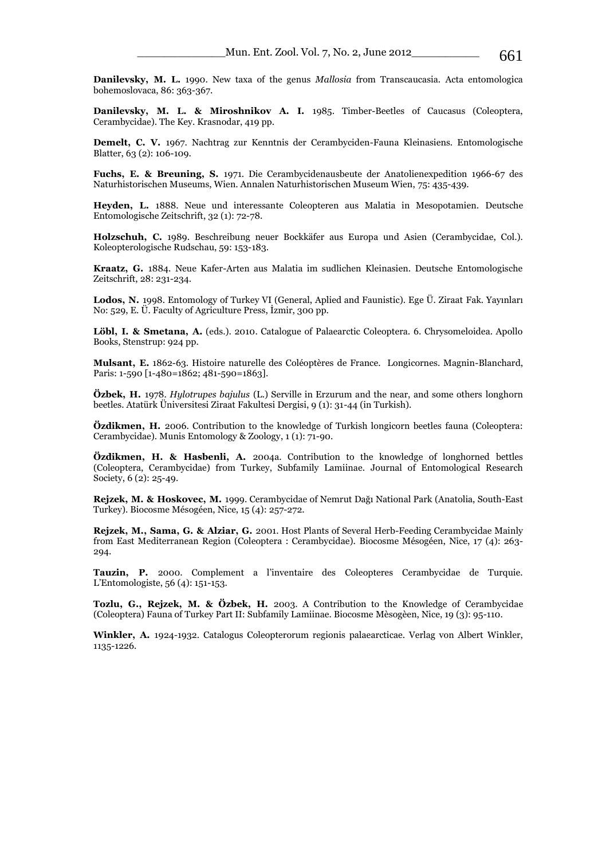**Danilevsky, M. L.** 1990. New taxa of the genus *Mallosia* from Transcaucasia. Acta entomologica bohemoslovaca, 86: 363-367.

**Danilevsky, M. L. & Miroshnikov A. I.** 1985. Timber-Beetles of Caucasus (Coleoptera, Cerambycidae). The Key. Krasnodar, 419 pp.

**Demelt, C. V.** 1967. Nachtrag zur Kenntnis der Cerambyciden-Fauna Kleinasiens. Entomologische Blatter, 63 (2): 106-109.

**Fuchs, E. & Breuning, S.** 1971. Die Cerambycidenausbeute der Anatolienexpedition 1966-67 des Naturhistorischen Museums, Wien. Annalen Naturhistorischen Museum Wien, 75: 435-439.

**Heyden, L.** 1888. Neue und interessante Coleopteren aus Malatia in Mesopotamien. Deutsche Entomologische Zeitschrift, 32 (1): 72-78.

**Holzschuh, C.** 1989. Beschreibung neuer Bockkäfer aus Europa und Asien (Cerambycidae, Col.). Koleopterologische Rudschau, 59: 153-183.

**Kraatz, G.** 1884. Neue Kafer-Arten aus Malatia im sudlichen Kleinasien. Deutsche Entomologische Zeitschrift, 28: 231-234.

**Lodos, N.** 1998. Entomology of Turkey VI (General, Aplied and Faunistic). Ege Ü. Ziraat Fak. Yayınları No: 529, E. Ü. Faculty of Agriculture Press, İzmir, 300 pp.

Löbl, I. & Smetana, A. (eds.). 2010. Catalogue of Palaearctic Coleoptera. 6. Chrysomeloidea. Apollo Books, Stenstrup: 924 pp.

**Mulsant, E.** 1862-63. Histoire naturelle des Coléoptères de France. Longicornes. Magnin-Blanchard, Paris: 1-590 [1-480=1862; 481-590=1863].

**Özbek, H.** 1978. *Hylotrupes bajulus* (L.) Serville in Erzurum and the near, and some others longhorn beetles. Atatürk Üniversitesi Ziraat Fakultesi Dergisi, 9 (1): 31-44 (in Turkish).

**Özdikmen, H.** 2006. Contribution to the knowledge of Turkish longicorn beetles fauna (Coleoptera: Cerambycidae). Munis Entomology & Zoology, 1 (1): 71-90.

**Özdikmen, H. & Hasbenli, A.** 2004a. Contribution to the knowledge of longhorned bettles (Coleoptera, Cerambycidae) from Turkey, Subfamily Lamiinae. Journal of Entomological Research Society, 6 (2): 25-49.

**Rejzek, M. & Hoskovec, M.** 1999. Cerambycidae of Nemrut Dağı National Park (Anatolia, South-East Turkey). Biocosme Mésogéen, Nice, 15 (4): 257-272.

**Rejzek, M., Sama, G. & Alziar, G.** 2001. Host Plants of Several Herb-Feeding Cerambycidae Mainly from East Mediterranean Region (Coleoptera : Cerambycidae). Biocosme Mésogéen, Nice, 17 (4): 263- 294.

**Tauzin, P.** 2000. Complement a l'inventaire des Coleopteres Cerambycidae de Turquie. L'Entomologiste, 56 (4): 151-153.

**Tozlu, G., Rejzek, M. & Özbek, H.** 2003. A Contribution to the Knowledge of Cerambycidae (Coleoptera) Fauna of Turkey Part II: Subfamily Lamiinae. Biocosme Mèsogèen, Nice, 19 (3): 95-110.

**Winkler, A.** 1924-1932. Catalogus Coleopterorum regionis palaearcticae. Verlag von Albert Winkler, 1135-1226.